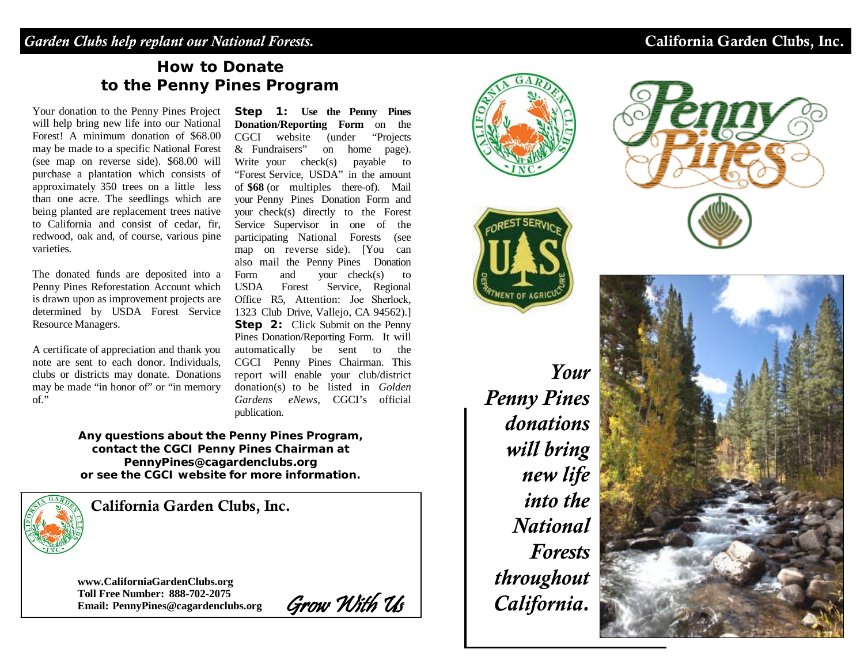## *Garden Clubs help replant our National Forests.* California Garden Clubs, Inc.

# **How to Donate to the Penny Pines Program**

Your donation to the Penny Pines Project will help bring new life into our National Forest! A minimum donation of \$68.00 may be made to a specific National Forest (see map on reverse side). \$68.00 will purchase a plantation which consists of approximately 350 trees on a little less than one acre. The seedlings which are being planted are replacement trees native to California and consist of cedar, fir, redwood, oak and, of course, various pine varieties.

The donated funds are deposited into a Penny Pines Reforestation Account which is drawn upon as improvement projects are determined by USDA Forest Service Resource Managers.

A certificate of appreciation and thank you note are sent to each donor. Individuals, clubs or districts may donate. Donations may be made "in honor of" or "in memory of."

**Step 1: Use the Penny Pines Donation/Reporting Form** on the CGCI website (under "Projects & Fundraisers" on home page). Write your check(s) payable to "Forest Service, USDA" in the amount of **\$68** (or multiples there-of). Mail your Penny Pines Donation Form and your check(s) directly to the Forest Service Supervisor in one of the participating National Forests (see map on reverse side). [You can also mail the Penny Pines Donation Form and your check(s) to USDA Forest Service, Regional Office R5, Attention: Joe Sherlock, 1323 Club Drive, Vallejo, CA 94562).] **Step 2:** Click Submit on the Penny Pines Donation/Reporting Form. It will automatically be sent to the CGCI Penny Pines Chairman. This report will enable your club/district donation(s) to be listed in *Golden Gardens eNews*, CGCI's official publication.

**Any questions about the Penny Pines Program, contact the CGCI Penny Pines Chairman at [PennyPines@cagardenclubs.org](mailto:PennyPines@cagardenclubs.org) or see the CGCI website for more information.**



California Garden Clubs, Inc.

**[www.CaliforniaGardenClubs.org](http://www.californiagardenclubs.org/) Toll Free Number: 888-702-2075 Email: [PennyPines@cagardenclubs.org](mailto:PennyPines@cagardenclubs.org)** Grow With Us